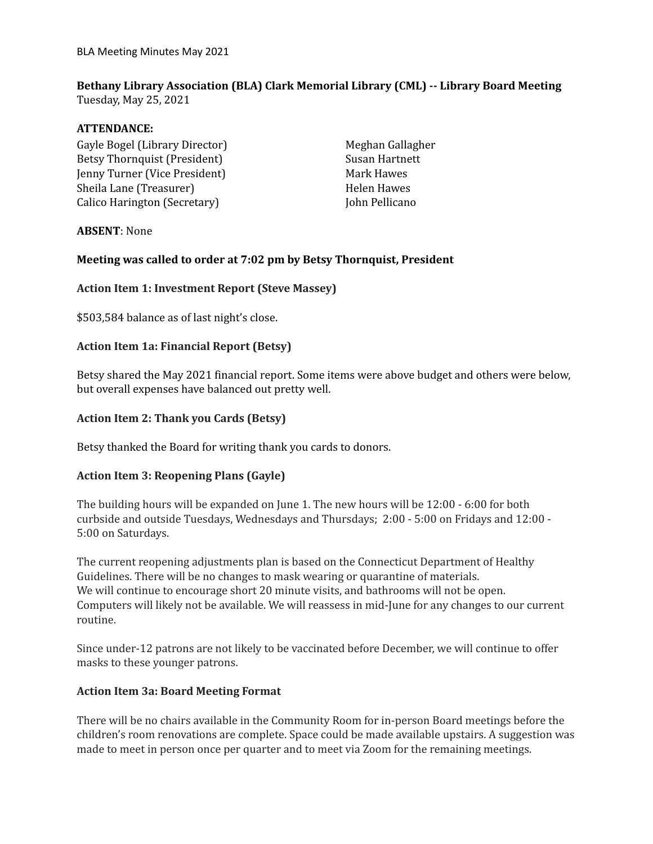BLA Meeting Minutes May 2021

# **Bethany Library Association (BLA) Clark Memorial Library (CML) -- Library Board Meeting**

Tuesday, May 25, 2021

## **ATTENDANCE:**

Gayle Bogel (Library Director) Betsy Thornquist (President) Jenny Turner (Vice President) Sheila Lane (Treasurer) Calico Harington (Secretary)

Meghan Gallagher Susan Hartnett Mark Hawes Helen Hawes John Pellicano

# **ABSENT**: None

# **Meeting was called to order at 7:02 pm by Betsy Thornquist, President**

#### **Action Item 1: Investment Report (Steve Massey)**

\$503,584 balance as of last night's close.

# **Action Item 1a: Financial Report (Betsy)**

Betsy shared the May 2021 financial report. Some items were above budget and others were below, but overall expenses have balanced out pretty well.

## **Action Item 2: Thank you Cards (Betsy)**

Betsy thanked the Board for writing thank you cards to donors.

# **Action Item 3: Reopening Plans (Gayle)**

The building hours will be expanded on June 1. The new hours will be 12:00 - 6:00 for both curbside and outside Tuesdays, Wednesdays and Thursdays; 2:00 - 5:00 on Fridays and 12:00 - 5:00 on Saturdays.

The current reopening adjustments plan is based on the Connecticut Department of Healthy Guidelines. There will be no changes to mask wearing or quarantine of materials. We will continue to encourage short 20 minute visits, and bathrooms will not be open. Computers will likely not be available. We will reassess in mid-June for any changes to our current routine.

Since under-12 patrons are not likely to be vaccinated before December, we will continue to offer masks to these younger patrons.

# **Action Item 3a: Board Meeting Format**

There will be no chairs available in the Community Room for in-person Board meetings before the children's room renovations are complete. Space could be made available upstairs. A suggestion was made to meet in person once per quarter and to meet via Zoom for the remaining meetings.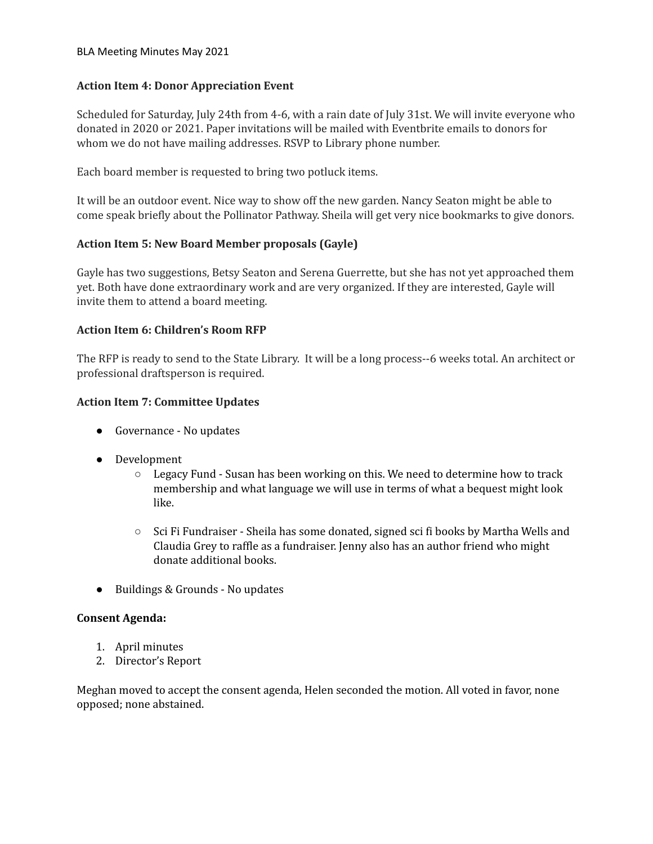#### BLA Meeting Minutes May 2021

## **Action Item 4: Donor Appreciation Event**

Scheduled for Saturday, July 24th from 4-6, with a rain date of July 31st. We will invite everyone who donated in 2020 or 2021. Paper invitations will be mailed with Eventbrite emails to donors for whom we do not have mailing addresses. RSVP to Library phone number.

Each board member is requested to bring two potluck items.

It will be an outdoor event. Nice way to show off the new garden. Nancy Seaton might be able to come speak briefly about the Pollinator Pathway. Sheila will get very nice bookmarks to give donors.

# **Action Item 5: New Board Member proposals (Gayle)**

Gayle has two suggestions, Betsy Seaton and Serena Guerrette, but she has not yet approached them yet. Both have done extraordinary work and are very organized. If they are interested, Gayle will invite them to attend a board meeting.

#### **Action Item 6: Children's Room RFP**

The RFP is ready to send to the State Library. It will be a long process--6 weeks total. An architect or professional draftsperson is required.

#### **Action Item 7: Committee Updates**

- Governance No updates
- Development
	- Legacy Fund Susan has been working on this. We need to determine how to track membership and what language we will use in terms of what a bequest might look like.
	- Sci Fi Fundraiser Sheila has some donated, signed sci fi books by Martha Wells and Claudia Grey to raffle as a fundraiser. Jenny also has an author friend who might donate additional books.
- Buildings & Grounds No updates

#### **Consent Agenda:**

- 1. April minutes
- 2. Director's Report

Meghan moved to accept the consent agenda, Helen seconded the motion. All voted in favor, none opposed; none abstained.